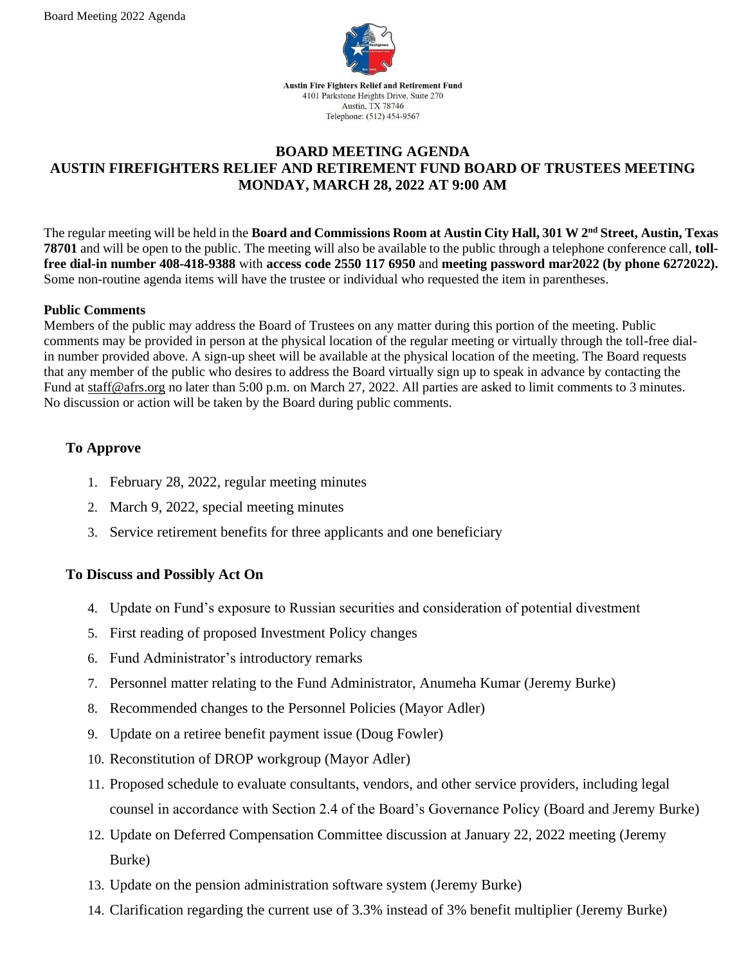

## **BOARD MEETING AGENDA AUSTIN FIREFIGHTERS RELIEF AND RETIREMENT FUND BOARD OF TRUSTEES MEETING MONDAY, MARCH 28, 2022 AT 9:00 AM**

The regular meeting will be held in the **Board and Commissions Room at Austin City Hall, 301 W 2nd Street, Austin, Texas 78701** and will be open to the public. The meeting will also be available to the public through a telephone conference call, **tollfree dial-in number 408-418-9388** with **access code 2550 117 6950** and **meeting password mar2022 (by phone 6272022).**  Some non-routine agenda items will have the trustee or individual who requested the item in parentheses.

#### **Public Comments**

Members of the public may address the Board of Trustees on any matter during this portion of the meeting. Public comments may be provided in person at the physical location of the regular meeting or virtually through the toll-free dialin number provided above. A sign-up sheet will be available at the physical location of the meeting. The Board requests that any member of the public who desires to address the Board virtually sign up to speak in advance by contacting the Fund at [staff@afrs.org](mailto:staff@afrs.org) no later than 5:00 p.m. on March 27, 2022. All parties are asked to limit comments to 3 minutes. No discussion or action will be taken by the Board during public comments.

## **To Approve**

- 1. February 28, 2022, regular meeting minutes
- 2. March 9, 2022, special meeting minutes
- 3. Service retirement benefits for three applicants and one beneficiary

### **To Discuss and Possibly Act On**

- 4. Update on Fund's exposure to Russian securities and consideration of potential divestment
- 5. First reading of proposed Investment Policy changes
- 6. Fund Administrator's introductory remarks
- 7. Personnel matter relating to the Fund Administrator, Anumeha Kumar (Jeremy Burke)
- 8. Recommended changes to the Personnel Policies (Mayor Adler)
- 9. Update on a retiree benefit payment issue (Doug Fowler)
- 10. Reconstitution of DROP workgroup (Mayor Adler)
- 11. Proposed schedule to evaluate consultants, vendors, and other service providers, including legal counsel in accordance with Section 2.4 of the Board's Governance Policy (Board and Jeremy Burke)
- 12. Update on Deferred Compensation Committee discussion at January 22, 2022 meeting (Jeremy Burke)
- 13. Update on the pension administration software system (Jeremy Burke)
- 14. Clarification regarding the current use of 3.3% instead of 3% benefit multiplier (Jeremy Burke)